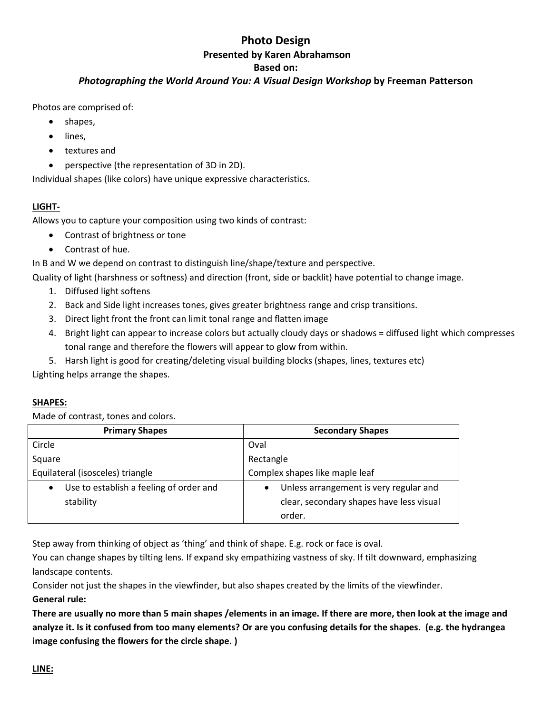## **Photo Design Presented by Karen Abrahamson**

# **Based on:**

## *Photographing the World Around You: A Visual Design Workshop* **by Freeman Patterson**

Photos are comprised of:

- shapes,
- lines,
- textures and
- perspective (the representation of 3D in 2D).

Individual shapes (like colors) have unique expressive characteristics.

## **LIGHT-**

Allows you to capture your composition using two kinds of contrast:

- Contrast of brightness or tone
- Contrast of hue.

In B and W we depend on contrast to distinguish line/shape/texture and perspective.

Quality of light (harshness or softness) and direction (front, side or backlit) have potential to change image.

- 1. Diffused light softens
- 2. Back and Side light increases tones, gives greater brightness range and crisp transitions.
- 3. Direct light front the front can limit tonal range and flatten image
- 4. Bright light can appear to increase colors but actually cloudy days or shadows = diffused light which compresses tonal range and therefore the flowers will appear to glow from within.
- 5. Harsh light is good for creating/deleting visual building blocks (shapes, lines, textures etc)

Lighting helps arrange the shapes.

## **SHAPES:**

Made of contrast, tones and colors.

| <b>Primary Shapes</b>                                | <b>Secondary Shapes</b>                  |  |
|------------------------------------------------------|------------------------------------------|--|
| Circle                                               | Oval                                     |  |
| Square                                               | Rectangle                                |  |
| Equilateral (isosceles) triangle                     | Complex shapes like maple leaf           |  |
| Use to establish a feeling of order and<br>$\bullet$ | Unless arrangement is very regular and   |  |
| stability                                            | clear, secondary shapes have less visual |  |
|                                                      | order.                                   |  |

Step away from thinking of object as 'thing' and think of shape. E.g. rock or face is oval.

You can change shapes by tilting lens. If expand sky empathizing vastness of sky. If tilt downward, emphasizing landscape contents.

Consider not just the shapes in the viewfinder, but also shapes created by the limits of the viewfinder. **General rule:**

**There are usually no more than 5 main shapes /elements in an image. If there are more, then look at the image and analyze it. Is it confused from too many elements? Or are you confusing details for the shapes. (e.g. the hydrangea image confusing the flowers for the circle shape. )**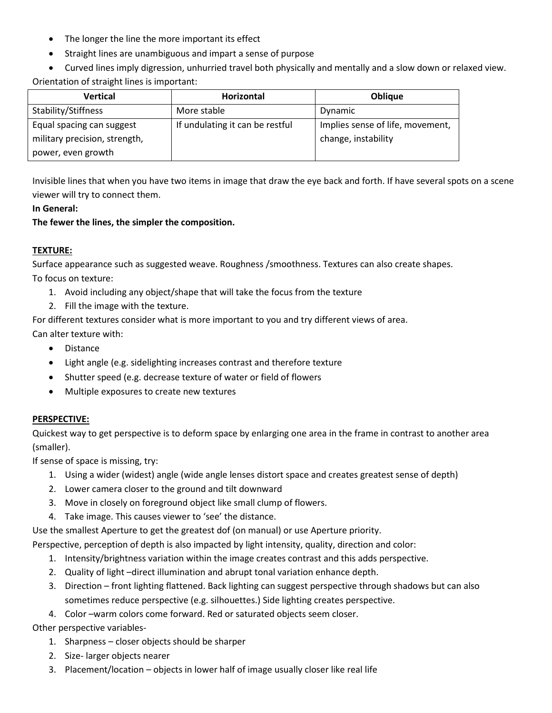- The longer the line the more important its effect
- Straight lines are unambiguous and impart a sense of purpose
- Curved lines imply digression, unhurried travel both physically and mentally and a slow down or relaxed view. Orientation of straight lines is important:

| <b>Vertical</b>               | <b>Horizontal</b>               | <b>Oblique</b>                   |
|-------------------------------|---------------------------------|----------------------------------|
| Stability/Stiffness           | More stable                     | Dynamic                          |
| Equal spacing can suggest     | If undulating it can be restful | Implies sense of life, movement, |
| military precision, strength, |                                 | change, instability              |
| power, even growth            |                                 |                                  |

Invisible lines that when you have two items in image that draw the eye back and forth. If have several spots on a scene viewer will try to connect them.

#### **In General:**

**The fewer the lines, the simpler the composition.** 

#### **TEXTURE:**

Surface appearance such as suggested weave. Roughness /smoothness. Textures can also create shapes. To focus on texture:

- 1. Avoid including any object/shape that will take the focus from the texture
- 2. Fill the image with the texture.

For different textures consider what is more important to you and try different views of area. Can alter texture with:

- Distance
- Light angle (e.g. sidelighting increases contrast and therefore texture
- Shutter speed (e.g. decrease texture of water or field of flowers
- Multiple exposures to create new textures

#### **PERSPECTIVE:**

Quickest way to get perspective is to deform space by enlarging one area in the frame in contrast to another area (smaller).

If sense of space is missing, try:

- 1. Using a wider (widest) angle (wide angle lenses distort space and creates greatest sense of depth)
- 2. Lower camera closer to the ground and tilt downward
- 3. Move in closely on foreground object like small clump of flowers.
- 4. Take image. This causes viewer to 'see' the distance.

Use the smallest Aperture to get the greatest dof (on manual) or use Aperture priority.

Perspective, perception of depth is also impacted by light intensity, quality, direction and color:

- 1. Intensity/brightness variation within the image creates contrast and this adds perspective.
- 2. Quality of light –direct illumination and abrupt tonal variation enhance depth.
- 3. Direction front lighting flattened. Back lighting can suggest perspective through shadows but can also sometimes reduce perspective (e.g. silhouettes.) Side lighting creates perspective.
- 4. Color –warm colors come forward. Red or saturated objects seem closer.

Other perspective variables-

- 1. Sharpness closer objects should be sharper
- 2. Size- larger objects nearer
- 3. Placement/location objects in lower half of image usually closer like real life